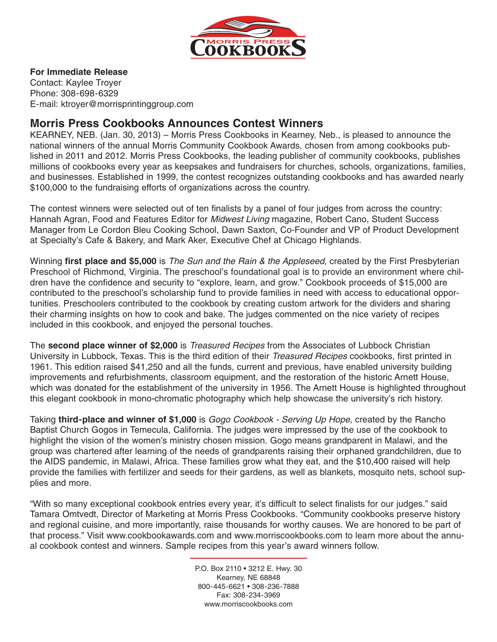

#### **For Immediate Release**

Contact: Kaylee Troyer Phone: 308-698-6329 E-mail: ktroyer@morrisprintinggroup.com

## **Morris Press Cookbooks Announces Contest Winners**

KEARNEY, NEB. (Jan. 30, 2013) – Morris Press Cookbooks in Kearney, Neb., is pleased to announce the national winners of the annual Morris Community Cookbook Awards, chosen from among cookbooks published in 2011 and 2012. Morris Press Cookbooks, the leading publisher of community cookbooks, publishes millions of cookbooks every year as keepsakes and fundraisers for churches, schools, organizations, families, and businesses. Established in 1999, the contest recognizes outstanding cookbooks and has awarded nearly \$100,000 to the fundraising efforts of organizations across the country.

The contest winners were selected out of ten finalists by a panel of four judges from across the country: Hannah Agran, Food and Features Editor for *Midwest Living* magazine, Robert Cano, Student Success Manager from Le Cordon Bleu Cooking School, Dawn Saxton, Co-Founder and VP of Product Development at Specialty's Cafe & Bakery, and Mark Aker, Executive Chef at Chicago Highlands.

Winning **first place and \$5,000** is *The Sun and the Rain & the Appleseed*, created by the First Presbyterian Preschool of Richmond, Virginia. The preschool's foundational goal is to provide an environment where children have the confidence and security to "explore, learn, and grow." Cookbook proceeds of \$15,000 are contributed to the preschool's scholarship fund to provide families in need with access to educational opportunities. Preschoolers contributed to the cookbook by creating custom artwork for the dividers and sharing their charming insights on how to cook and bake. The judges commented on the nice variety of recipes included in this cookbook, and enjoyed the personal touches.

The **second place winner of \$2,000** is *Treasured Recipes* from the Associates of Lubbock Christian University in Lubbock, Texas. This is the third edition of their *Treasured Recipes* cookbooks, first printed in 1961. This edition raised \$41,250 and all the funds, current and previous, have enabled university building improvements and refurbishments, classroom equipment, and the restoration of the historic Arnett House, which was donated for the establishment of the university in 1956. The Arnett House is highlighted throughout this elegant cookbook in mono-chromatic photography which help showcase the university's rich history.

Taking **third-place and winner of \$1,000** is *Gogo Cookbook - Serving Up Hope*, created by the Rancho Baptist Church Gogos in Temecula, California. The judges were impressed by the use of the cookbook to highlight the vision of the women's ministry chosen mission. Gogo means grandparent in Malawi, and the group was chartered after learning of the needs of grandparents raising their orphaned grandchildren, due to the AIDS pandemic, in Malawi, Africa. These families grow what they eat, and the \$10,400 raised will help provide the families with fertilizer and seeds for their gardens, as well as blankets, mosquito nets, school supplies and more.

"With so many exceptional cookbook entries every year, it's difficult to select finalists for our judges." said Tamara Omtvedt, Director of Marketing at Morris Press Cookbooks. "Community cookbooks preserve history and regional cuisine, and more importantly, raise thousands for worthy causes. We are honored to be part of that process." Visit www.cookbookawards.com and www.morriscookbooks.com to learn more about the annual cookbook contest and winners. Sample recipes from this year's award winners follow.

> P.O. Box 2110 • 3212 E. Hwy. 30 Kearney, NE 68848 800-445-6621 • 308-236-7888 Fax: 308-234-3969 www.morriscookbooks.com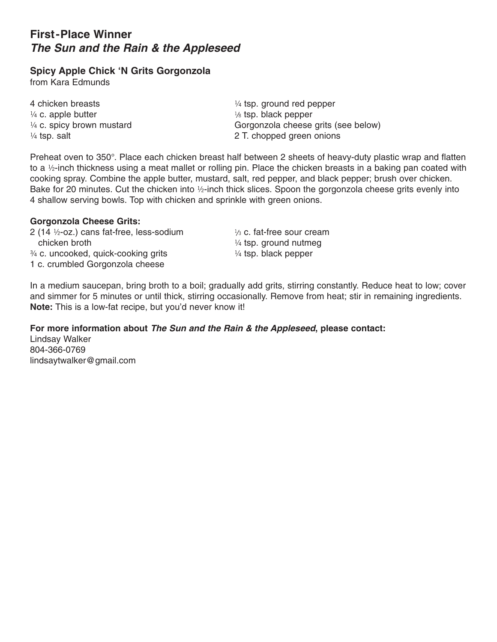# **First-Place Winner** *The Sun and the Rain & the Appleseed*

### **Spicy Apple Chick 'N Grits Gorgonzola**

from Kara Edmunds

4 chicken breasts  $\frac{1}{4}$  tsp. ground red pepper  $\frac{1}{4}$  c. apple butter the set of  $\frac{1}{8}$  tsp. black pepper

 $\frac{1}{4}$  c. spicy brown mustard Gorgonzola cheese grits (see below)  $\frac{1}{4}$  tsp. salt  $\frac{1}{4}$  tsp. salt  $\frac{1}{4}$  tsp. salt  $\frac{1}{4}$  tsp. salt  $\frac{1}{4}$  tsp. salt  $\frac{1}{4}$  tsp. salt  $\frac{1}{4}$  tsp. salt  $\frac{1}{4}$  tsp. salt  $\frac{1}{4}$  tsp. salt  $\frac{1}{4}$  tsp. salt  $\frac{1}{4}$  tsp. salt

Preheat oven to 350°. Place each chicken breast half between 2 sheets of heavy-duty plastic wrap and flatten to a ½-inch thickness using a meat mallet or rolling pin. Place the chicken breasts in a baking pan coated with cooking spray. Combine the apple butter, mustard, salt, red pepper, and black pepper; brush over chicken. Bake for 20 minutes. Cut the chicken into ½-inch thick slices. Spoon the gorgonzola cheese grits evenly into 4 shallow serving bowls. Top with chicken and sprinkle with green onions.

#### **Gorgonzola Cheese Grits:**

2 (14  $\frac{1}{2}$ -oz.) cans fat-free, less-sodium  $\frac{1}{3}$  c. fat-free sour cream chicken broth  $\frac{1}{4}$  tsp. ground nutmeg  $\frac{3}{4}$  c. uncooked, quick-cooking grits  $\frac{1}{4}$  tsp. black pepper 1 c. crumbled Gorgonzola cheese

In a medium saucepan, bring broth to a boil; gradually add grits, stirring constantly. Reduce heat to low; cover and simmer for 5 minutes or until thick, stirring occasionally. Remove from heat; stir in remaining ingredients. **Note:** This is a low-fat recipe, but you'd never know it!

### **For more information about** *The Sun and the Rain & the Appleseed***, please contact:**

Lindsay Walker 804-366-0769 lindsaytwalker@gmail.com